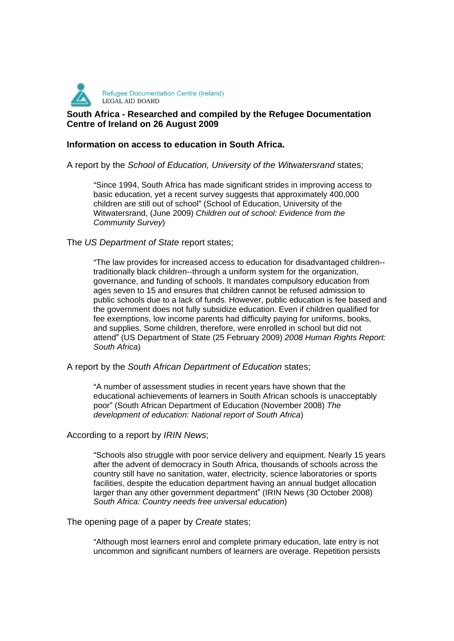

# **South Africa - Researched and compiled by the Refugee Documentation Centre of Ireland on 26 August 2009**

### **Information on access to education in South Africa.**

### A report by the School of Education, University of the Witwatersrand states;

Since 1994, South Africa has made significant strides in improving access to basic education, yet a recent survey suggests that approximately 400,000 children are still out of school" (School of Education, University of the Witwatersrand, (June 2009) Children out of school: Evidence from the Community Survey)

### The US Department of State report states;

The law provides for increased access to education for disadvantaged children- traditionally black children--through a uniform system for the organization, governance, and funding of schools. It mandates compulsory education from ages seven to 15 and ensures that children cannot be refused admission to public schools due to a lack of funds. However, public education is fee based and the government does not fully subsidize education. Even if children qualified for fee exemptions, low income parents had difficulty paying for uniforms, books, and supplies. Some children, therefore, were enrolled in school but did not attend" (US Department of State (25 February 2009) 2008 Human Rights Report: South Africa) **South Africa** (Section 1996) **South Africa** (Section 1996) **South Africa** (Section 1997)

#### A report by the South African Department of Education states;

A number of assessment studies in recent years have shown that the educational achievements of learners in South African schools is unacceptably poor" (South African Department of Education (November 2008) The development of education: National report of South Africa)

#### According to a report by IRIN News;

Schools also struggle with poor service delivery and equipment. Nearly 15 years after the advent of democracy in South Africa, thousands of schools across the country still have no sanitation, water, electricity, science laboratories or sports facilities, despite the education department having an annual budget allocation larger than any other government department" (IRIN News (30 October 2008) South Africa: Country needs free universal education)

The opening page of a paper by Create states;

Although most learners enrol and complete primary education, late entry is not uncommon and significant numbers of learners are overage. Repetition persists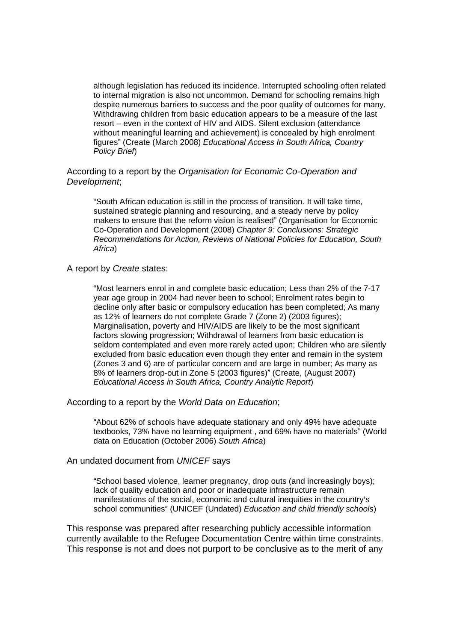although legislation has reduced its incidence. Interrupted schooling often related to internal migration is also not uncommon. Demand for schooling remains high despite numerous barriers to success and the poor quality of outcomes for many. Withdrawing children from basic education appears to be a measure of the last resort – even in the context of HIV and AIDS. Silent exclusion (attendance without meaningful learning and achievement) is concealed by high enrolment figures" (Create (March 2008) Educational Access In South Africa, Country Policy Brief)

According to a report by the Organisation for Economic Co-Operation and Development;

South African education is still in the process of transition. It will take time, sustained strategic planning and resourcing, and a steady nerve by policy makers to ensure that the reform vision is realised" (Organisation for Economic Co-Operation and Development (2008) Chapter 9: Conclusions: Strategic Recommendations for Action, Reviews of National Policies for Education, South Africa)

A report by Create states:

Most learners enrol in and complete basic education; Less than 2% of the 7-17 year age group in 2004 had never been to school; Enrolment rates begin to decline only after basic or compulsory education has been completed; As many as 12% of learners do not complete Grade 7 (Zone 2) (2003 figures); Marginalisation, poverty and HIV/AIDS are likely to be the most significant factors slowing progression; Withdrawal of learners from basic education is seldom contemplated and even more rarely acted upon; Children who are silently excluded from basic education even though they enter and remain in the system (Zones 3 and 6) are of particular concern and are large in number; As many as 8% of learners drop-out in Zone 5 (2003 figures)" (Create, (August 2007) Educational Access in South Africa, Country Analytic Report)

According to a report by the World Data on Education;

About 62% of schools have adequate stationary and only 49% have adequate textbooks, 73% have no learning equipment, and 69% have no materials" (World data on Education (October 2006) South Africa)

An undated document from UNICEF says

School based violence, learner pregnancy, drop outs (and increasingly boys); lack of quality education and poor or inadequate infrastructure remain manifestations of the social, economic and cultural inequities in the country's school communities" (UNICEF (Undated) Education and child friendly schools)

This response was prepared after researching publicly accessible information currently available to the Refugee Documentation Centre within time constraints. This response is not and does not purport to be conclusive as to the merit of any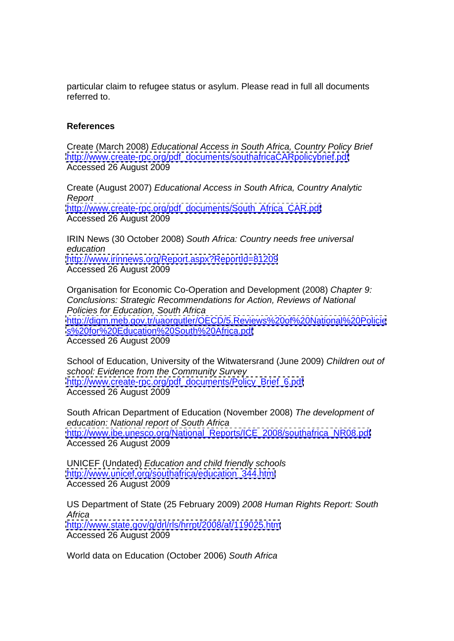particular claim to refugee status or asylum. Please read in full all documents referred to. **Exercise 2008 Contract to a set of the set of the set of the set of the set of the set of the set of the set of the set of the set of the set of the set of the set of the set of the set of the set of the se** 

## **References**

Create (March 2008) Educational Access in South Africa, Country Policy Brief [http://www.create-rpc.org/pdf\\_documents/southafricaCARpolicybrief.pdf](http://www.create-rpc.org/pdf_documents/southafricaCARpolicybrief.pdf) Accessed 26 August 2009

Create (August 2007) Educational Access in South Africa, Country Analytic Report [http://www.create-rpc.org/pdf\\_documents/South\\_Africa\\_CAR.pdf](http://www.create-rpc.org/pdf_documents/South_Africa_CAR.pdf) Accessed 26 August 2009

IRIN News (30 October 2008) South Africa: Country needs free universal education and the contract of the contract of the contract of the contract of the contract of the contract of the contract of the contract of the contract of the contract of the contract of the contract of the contract of <http://www.irinnews.org/Report.aspx?ReportId=81209> Accessed 26 August 2009

Organisation for Economic Co-Operation and Development (2008) Chapter 9: Conclusions: Strategic Recommendations for Action, Reviews of National Policies for Education, South Africa <http://digm.meb.gov.tr/uaorgutler/OECD/5.Reviews%20of%20National%20Policie> <s%20for%20Education%20South%20Africa.pdf> Accessed 26 August 2009

School of Education, University of the Witwatersrand (June 2009) Children out of school: Evidence from the Community Survey [http://www.create-rpc.org/pdf\\_documents/Policy\\_Brief\\_6.pdf](http://www.create-rpc.org/pdf_documents/Policy_Brief_6.pdf) Accessed 26 August 2009

South African Department of Education (November 2008) The development of education: National report of South Africa [http://www.ibe.unesco.org/National\\_Reports/ICE\\_2008/southafrica\\_NR08.pdf](http://www.ibe.unesco.org/National_Reports/ICE_2008/southafrica_NR08.pdf) Accessed 26 August 2009

UNICEF (Undated) Education and child friendly schools [http://www.unicef.org/southafrica/education\\_344.html](http://www.unicef.org/southafrica/education_344.html) Accessed 26 August 2009

US Department of State (25 February 2009) 2008 Human Rights Report: South Africa <http://www.state.gov/g/drl/rls/hrrpt/2008/af/119025.htm> Accessed 26 August 2009

World data on Education (October 2006) South Africa